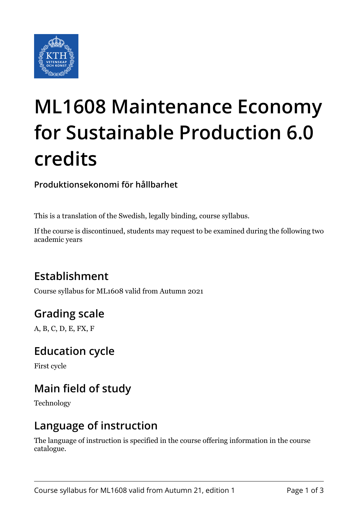

# **ML1608 Maintenance Economy for Sustainable Production 6.0 credits**

**Produktionsekonomi för hållbarhet**

This is a translation of the Swedish, legally binding, course syllabus.

If the course is discontinued, students may request to be examined during the following two academic years

# **Establishment**

Course syllabus for ML1608 valid from Autumn 2021

# **Grading scale**

A, B, C, D, E, FX, F

#### **Education cycle**

First cycle

# **Main field of study**

Technology

#### **Language of instruction**

The language of instruction is specified in the course offering information in the course catalogue.